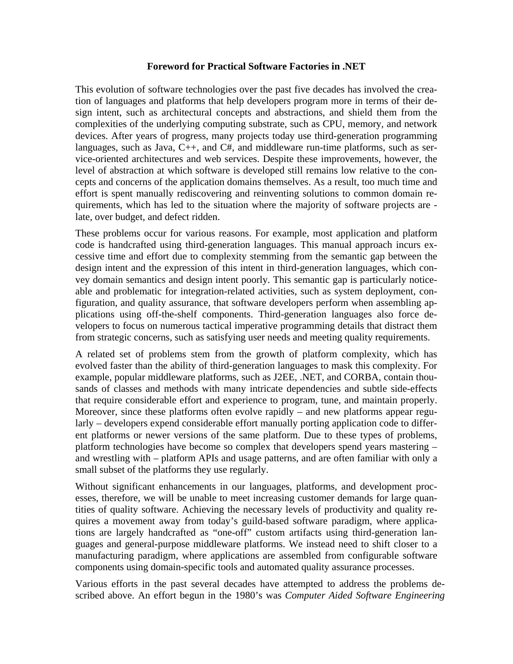## **Foreword for Practical Software Factories in .NET**

This evolution of software technologies over the past five decades has involved the creation of languages and platforms that help developers program more in terms of their design intent, such as architectural concepts and abstractions, and shield them from the complexities of the underlying computing substrate, such as CPU, memory, and network devices. After years of progress, many projects today use third-generation programming languages, such as Java, C++, and C#, and middleware run-time platforms, such as service-oriented architectures and web services. Despite these improvements, however, the level of abstraction at which software is developed still remains low relative to the concepts and concerns of the application domains themselves. As a result, too much time and effort is spent manually rediscovering and reinventing solutions to common domain requirements, which has led to the situation where the majority of software projects are late, over budget, and defect ridden.

These problems occur for various reasons. For example, most application and platform code is handcrafted using third-generation languages. This manual approach incurs excessive time and effort due to complexity stemming from the semantic gap between the design intent and the expression of this intent in third-generation languages, which convey domain semantics and design intent poorly. This semantic gap is particularly noticeable and problematic for integration-related activities, such as system deployment, configuration, and quality assurance, that software developers perform when assembling applications using off-the-shelf components. Third-generation languages also force developers to focus on numerous tactical imperative programming details that distract them from strategic concerns, such as satisfying user needs and meeting quality requirements.

A related set of problems stem from the growth of platform complexity, which has evolved faster than the ability of third-generation languages to mask this complexity. For example, popular middleware platforms, such as J2EE, .NET, and CORBA, contain thousands of classes and methods with many intricate dependencies and subtle side-effects that require considerable effort and experience to program, tune, and maintain properly. Moreover, since these platforms often evolve rapidly – and new platforms appear regularly – developers expend considerable effort manually porting application code to different platforms or newer versions of the same platform. Due to these types of problems, platform technologies have become so complex that developers spend years mastering – and wrestling with – platform APIs and usage patterns, and are often familiar with only a small subset of the platforms they use regularly.

Without significant enhancements in our languages, platforms, and development processes, therefore, we will be unable to meet increasing customer demands for large quantities of quality software. Achieving the necessary levels of productivity and quality requires a movement away from today's guild-based software paradigm, where applications are largely handcrafted as "one-off" custom artifacts using third-generation languages and general-purpose middleware platforms. We instead need to shift closer to a manufacturing paradigm, where applications are assembled from configurable software components using domain-specific tools and automated quality assurance processes.

Various efforts in the past several decades have attempted to address the problems described above. An effort begun in the 1980's was *Computer Aided Software Engineering*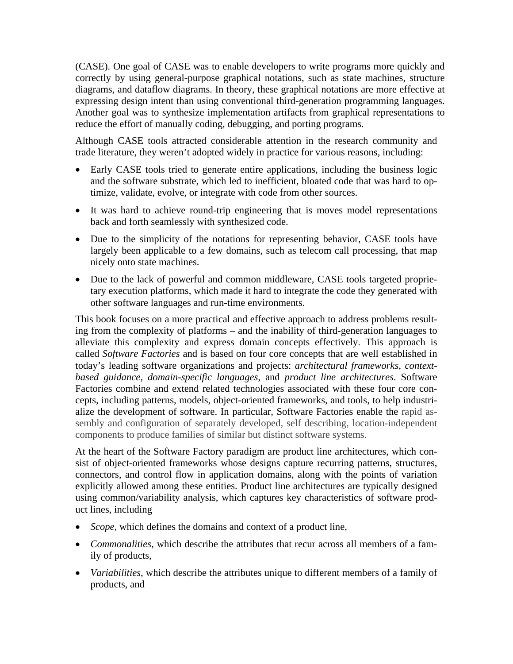(CASE). One goal of CASE was to enable developers to write programs more quickly and correctly by using general-purpose graphical notations, such as state machines, structure diagrams, and dataflow diagrams. In theory, these graphical notations are more effective at expressing design intent than using conventional third-generation programming languages. Another goal was to synthesize implementation artifacts from graphical representations to reduce the effort of manually coding, debugging, and porting programs.

Although CASE tools attracted considerable attention in the research community and trade literature, they weren't adopted widely in practice for various reasons, including:

- Early CASE tools tried to generate entire applications, including the business logic and the software substrate, which led to inefficient, bloated code that was hard to optimize, validate, evolve, or integrate with code from other sources.
- It was hard to achieve round-trip engineering that is moves model representations back and forth seamlessly with synthesized code.
- Due to the simplicity of the notations for representing behavior, CASE tools have largely been applicable to a few domains, such as telecom call processing, that map nicely onto state machines.
- Due to the lack of powerful and common middleware, CASE tools targeted proprietary execution platforms, which made it hard to integrate the code they generated with other software languages and run-time environments.

This book focuses on a more practical and effective approach to address problems resulting from the complexity of platforms – and the inability of third-generation languages to alleviate this complexity and express domain concepts effectively. This approach is called *Software Factories* and is based on four core concepts that are well established in today's leading software organizations and projects: *architectural frameworks*, *contextbased guidance*, *domain-specific languages*, and *product line architectures*. Software Factories combine and extend related technologies associated with these four core concepts, including patterns, models, object-oriented frameworks, and tools, to help industrialize the development of software. In particular, Software Factories enable the rapid assembly and configuration of separately developed, self describing, location-independent components to produce families of similar but distinct software systems.

At the heart of the Software Factory paradigm are product line architectures, which consist of object-oriented frameworks whose designs capture recurring patterns, structures, connectors, and control flow in application domains, along with the points of variation explicitly allowed among these entities. Product line architectures are typically designed using common/variability analysis, which captures key characteristics of software product lines, including

- *Scope*, which defines the domains and context of a product line,
- *Commonalities*, which describe the attributes that recur across all members of a family of products,
- *Variabilities*, which describe the attributes unique to different members of a family of products, and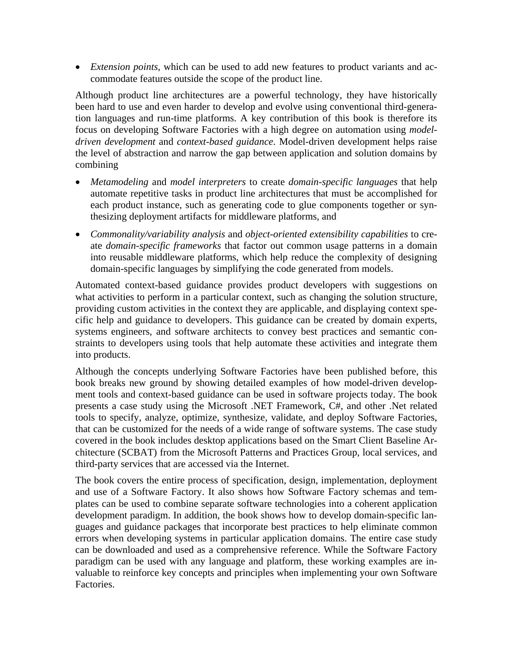• *Extension points*, which can be used to add new features to product variants and accommodate features outside the scope of the product line.

Although product line architectures are a powerful technology, they have historically been hard to use and even harder to develop and evolve using conventional third-generation languages and run-time platforms. A key contribution of this book is therefore its focus on developing Software Factories with a high degree on automation using *modeldriven development* and *context-based guidance*. Model-driven development helps raise the level of abstraction and narrow the gap between application and solution domains by combining

- *Metamodeling* and *model interpreters* to create *domain-specific languages* that help automate repetitive tasks in product line architectures that must be accomplished for each product instance, such as generating code to glue components together or synthesizing deployment artifacts for middleware platforms, and
- *Commonality/variability analysis* and *object-oriented extensibility capabilities* to create *domain-specific frameworks* that factor out common usage patterns in a domain into reusable middleware platforms, which help reduce the complexity of designing domain-specific languages by simplifying the code generated from models.

Automated context-based guidance provides product developers with suggestions on what activities to perform in a particular context, such as changing the solution structure, providing custom activities in the context they are applicable, and displaying context specific help and guidance to developers. This guidance can be created by domain experts, systems engineers, and software architects to convey best practices and semantic constraints to developers using tools that help automate these activities and integrate them into products.

Although the concepts underlying Software Factories have been published before, this book breaks new ground by showing detailed examples of how model-driven development tools and context-based guidance can be used in software projects today. The book presents a case study using the Microsoft .NET Framework, C#, and other .Net related tools to specify, analyze, optimize, synthesize, validate, and deploy Software Factories, that can be customized for the needs of a wide range of software systems. The case study covered in the book includes desktop applications based on the Smart Client Baseline Architecture (SCBAT) from the Microsoft Patterns and Practices Group, local services, and third-party services that are accessed via the Internet.

The book covers the entire process of specification, design, implementation, deployment and use of a Software Factory. It also shows how Software Factory schemas and templates can be used to combine separate software technologies into a coherent application development paradigm. In addition, the book shows how to develop domain-specific languages and guidance packages that incorporate best practices to help eliminate common errors when developing systems in particular application domains. The entire case study can be downloaded and used as a comprehensive reference. While the Software Factory paradigm can be used with any language and platform, these working examples are invaluable to reinforce key concepts and principles when implementing your own Software Factories.